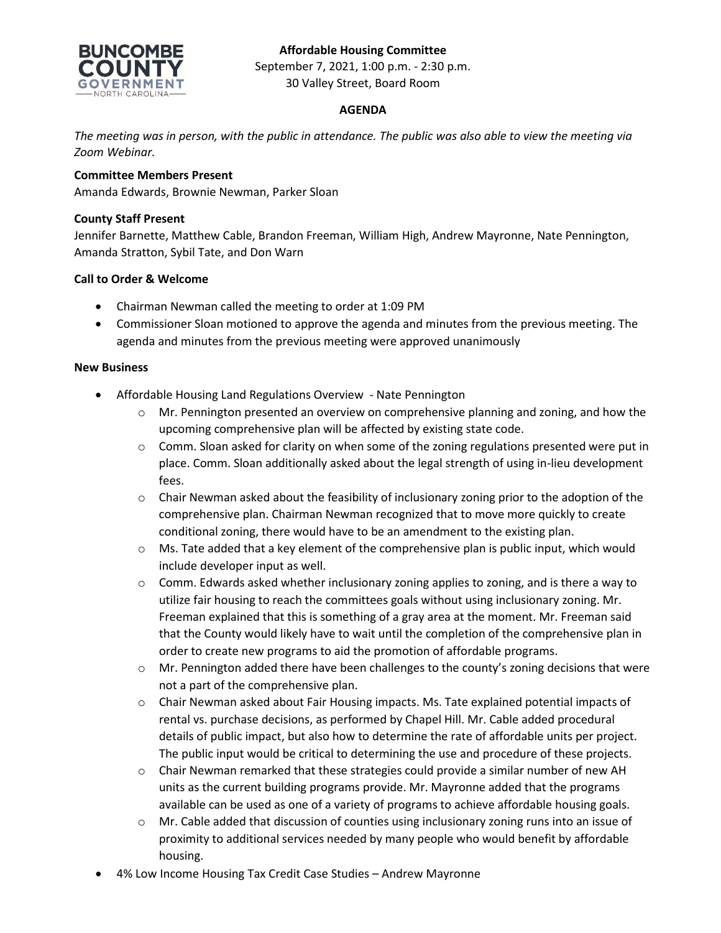# **Affordable Housing Committee**



September 7, 2021, 1:00 p.m. - 2:30 p.m. 30 Valley Street, Board Room

## **AGENDA**

*The meeting was in person, with the public in attendance. The public was also able to view the meeting via Zoom Webinar.*

## **Committee Members Present**

Amanda Edwards, Brownie Newman, Parker Sloan

## **County Staff Present**

Jennifer Barnette, Matthew Cable, Brandon Freeman, William High, Andrew Mayronne, Nate Pennington, Amanda Stratton, Sybil Tate, and Don Warn

## **Call to Order & Welcome**

- Chairman Newman called the meeting to order at 1:09 PM
- Commissioner Sloan motioned to approve the agenda and minutes from the previous meeting. The agenda and minutes from the previous meeting were approved unanimously

#### **New Business**

- Affordable Housing Land Regulations Overview Nate Pennington
	- o Mr. Pennington presented an overview on comprehensive planning and zoning, and how the upcoming comprehensive plan will be affected by existing state code.
	- $\circ$  Comm. Sloan asked for clarity on when some of the zoning regulations presented were put in place. Comm. Sloan additionally asked about the legal strength of using in-lieu development fees.
	- $\circ$  Chair Newman asked about the feasibility of inclusionary zoning prior to the adoption of the comprehensive plan. Chairman Newman recognized that to move more quickly to create conditional zoning, there would have to be an amendment to the existing plan.
	- o Ms. Tate added that a key element of the comprehensive plan is public input, which would include developer input as well.
	- $\circ$  Comm. Edwards asked whether inclusionary zoning applies to zoning, and is there a way to utilize fair housing to reach the committees goals without using inclusionary zoning. Mr. Freeman explained that this is something of a gray area at the moment. Mr. Freeman said that the County would likely have to wait until the completion of the comprehensive plan in order to create new programs to aid the promotion of affordable programs.
	- $\circ$  Mr. Pennington added there have been challenges to the county's zoning decisions that were not a part of the comprehensive plan.
	- $\circ$  Chair Newman asked about Fair Housing impacts. Ms. Tate explained potential impacts of rental vs. purchase decisions, as performed by Chapel Hill. Mr. Cable added procedural details of public impact, but also how to determine the rate of affordable units per project. The public input would be critical to determining the use and procedure of these projects.
	- $\circ$  Chair Newman remarked that these strategies could provide a similar number of new AH units as the current building programs provide. Mr. Mayronne added that the programs available can be used as one of a variety of programs to achieve affordable housing goals.
	- o Mr. Cable added that discussion of counties using inclusionary zoning runs into an issue of proximity to additional services needed by many people who would benefit by affordable housing.
- 4% Low Income Housing Tax Credit Case Studies Andrew Mayronne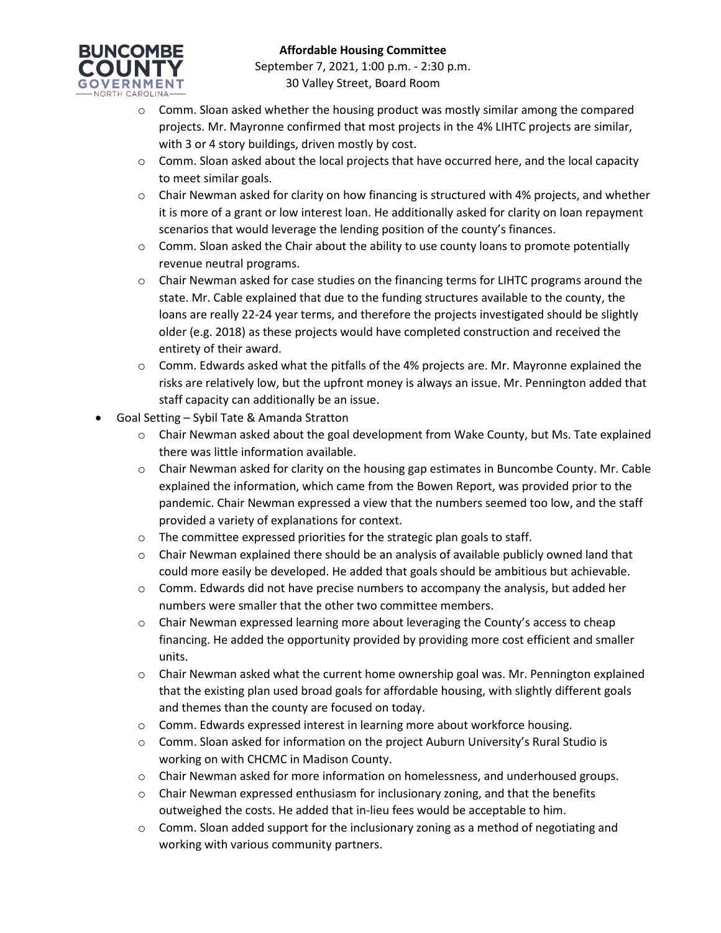

- $\circ$  Comm. Sloan asked whether the housing product was mostly similar among the compared projects. Mr. Mayronne confirmed that most projects in the 4% LIHTC projects are similar, with 3 or 4 story buildings, driven mostly by cost.
- $\circ$  Comm. Sloan asked about the local projects that have occurred here, and the local capacity to meet similar goals.
- $\circ$  Chair Newman asked for clarity on how financing is structured with 4% projects, and whether it is more of a grant or low interest loan. He additionally asked for clarity on loan repayment scenarios that would leverage the lending position of the county's finances.
- $\circ$  Comm. Sloan asked the Chair about the ability to use county loans to promote potentially revenue neutral programs.
- o Chair Newman asked for case studies on the financing terms for LIHTC programs around the state. Mr. Cable explained that due to the funding structures available to the county, the loans are really 22-24 year terms, and therefore the projects investigated should be slightly older (e.g. 2018) as these projects would have completed construction and received the entirety of their award.
- $\circ$  Comm. Edwards asked what the pitfalls of the 4% projects are. Mr. Mayronne explained the risks are relatively low, but the upfront money is always an issue. Mr. Pennington added that staff capacity can additionally be an issue.
- Goal Setting Sybil Tate & Amanda Stratton
	- $\circ$  Chair Newman asked about the goal development from Wake County, but Ms. Tate explained there was little information available.
	- o Chair Newman asked for clarity on the housing gap estimates in Buncombe County. Mr. Cable explained the information, which came from the Bowen Report, was provided prior to the pandemic. Chair Newman expressed a view that the numbers seemed too low, and the staff provided a variety of explanations for context.
	- o The committee expressed priorities for the strategic plan goals to staff.
	- $\circ$  Chair Newman explained there should be an analysis of available publicly owned land that could more easily be developed. He added that goals should be ambitious but achievable.
	- $\circ$  Comm. Edwards did not have precise numbers to accompany the analysis, but added her numbers were smaller that the other two committee members.
	- $\circ$  Chair Newman expressed learning more about leveraging the County's access to cheap financing. He added the opportunity provided by providing more cost efficient and smaller units.
	- $\circ$  Chair Newman asked what the current home ownership goal was. Mr. Pennington explained that the existing plan used broad goals for affordable housing, with slightly different goals and themes than the county are focused on today.
	- o Comm. Edwards expressed interest in learning more about workforce housing.
	- $\circ$  Comm. Sloan asked for information on the project Auburn University's Rural Studio is working on with CHCMC in Madison County.
	- o Chair Newman asked for more information on homelessness, and underhoused groups.
	- $\circ$  Chair Newman expressed enthusiasm for inclusionary zoning, and that the benefits outweighed the costs. He added that in-lieu fees would be acceptable to him.
	- $\circ$  Comm. Sloan added support for the inclusionary zoning as a method of negotiating and working with various community partners.